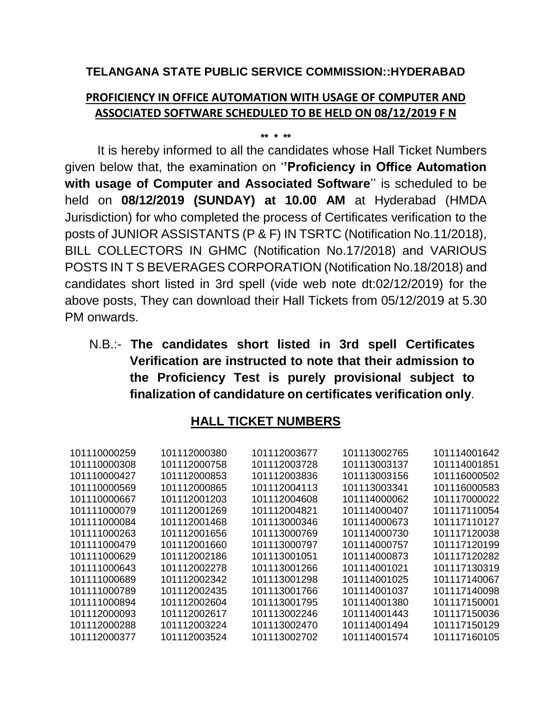### **TELANGANA STATE PUBLIC SERVICE COMMISSION::HYDERABAD**

## **PROFICIENCY IN OFFICE AUTOMATION WITH USAGE OF COMPUTER AND ASSOCIATED SOFTWARE SCHEDULED TO BE HELD ON 08/12/2019 F N**

**\*\* \* \*\***

It is hereby informed to all the candidates whose Hall Ticket Numbers given below that, the examination on '**'Proficiency in Office Automation with usage of Computer and Associated Software**'' is scheduled to be held on **08/12/2019 (SUNDAY) at 10.00 AM** at Hyderabad (HMDA Jurisdiction) for who completed the process of Certificates verification to the posts of JUNIOR ASSISTANTS (P & F) IN TSRTC (Notification No.11/2018), BILL COLLECTORS IN GHMC (Notification No.17/2018) and VARIOUS POSTS IN T S BEVERAGES CORPORATION (Notification No.18/2018) and candidates short listed in 3rd spell (vide web note dt:02/12/2019) for the above posts, They can download their Hall Tickets from 05/12/2019 at 5.30 PM onwards.

N.B.:- **The candidates short listed in 3rd spell Certificates Verification are instructed to note that their admission to the Proficiency Test is purely provisional subject to finalization of candidature on certificates verification only**.

# **HALL TICKET NUMBERS**

| 101110000259 | 101112000380 | 101112003677 | 101113002765 | 101114001642 |
|--------------|--------------|--------------|--------------|--------------|
| 101110000308 | 101112000758 | 101112003728 | 101113003137 | 101114001851 |
| 101110000427 | 101112000853 | 101112003836 | 101113003156 | 101116000502 |
| 101110000569 | 101112000865 | 101112004113 | 101113003341 | 101116000583 |
| 101110000667 | 101112001203 | 101112004608 | 101114000062 | 101117000022 |
| 101111000079 | 101112001269 | 101112004821 | 101114000407 | 101117110054 |
| 101111000084 | 101112001468 | 101113000346 | 101114000673 | 101117110127 |
| 101111000263 | 101112001656 | 101113000769 | 101114000730 | 101117120038 |
| 101111000479 | 101112001660 | 101113000797 | 101114000757 | 101117120199 |
| 101111000629 | 101112002186 | 101113001051 | 101114000873 | 101117120282 |
| 101111000643 | 101112002278 | 101113001266 | 101114001021 | 101117130319 |
| 101111000689 | 101112002342 | 101113001298 | 101114001025 | 101117140067 |
| 101111000789 | 101112002435 | 101113001766 | 101114001037 | 101117140098 |
| 101111000894 | 101112002604 | 101113001795 | 101114001380 | 101117150001 |
| 101112000093 | 101112002617 | 101113002246 | 101114001443 | 101117150036 |
| 101112000288 | 101112003224 | 101113002470 | 101114001494 | 101117150129 |
| 101112000377 | 101112003524 | 101113002702 | 101114001574 | 101117160105 |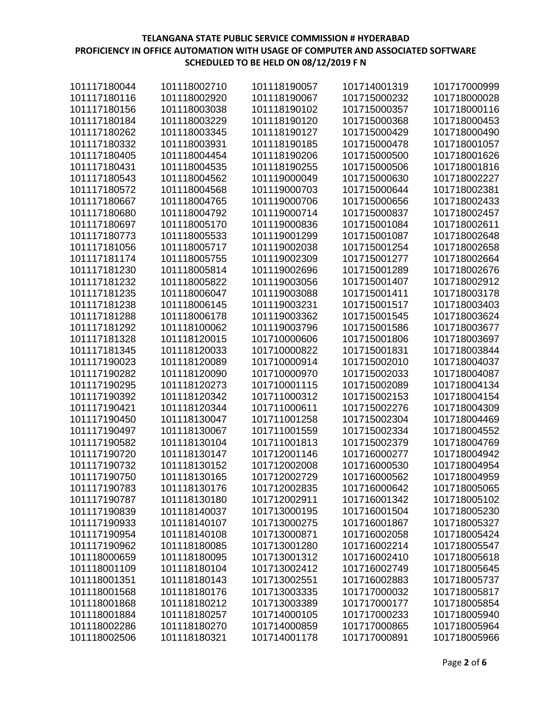| 101117180044 | 101118002710 | 101118190057 | 101714001319 | 101717000999 |
|--------------|--------------|--------------|--------------|--------------|
| 101117180116 | 101118002920 | 101118190067 | 101715000232 | 101718000028 |
| 101117180156 | 101118003038 | 101118190102 | 101715000357 | 101718000116 |
| 101117180184 | 101118003229 | 101118190120 | 101715000368 | 101718000453 |
| 101117180262 | 101118003345 | 101118190127 | 101715000429 | 101718000490 |
| 101117180332 | 101118003931 | 101118190185 | 101715000478 | 101718001057 |
| 101117180405 | 101118004454 | 101118190206 | 101715000500 | 101718001626 |
| 101117180431 | 101118004535 | 101118190255 | 101715000506 | 101718001816 |
| 101117180543 | 101118004562 | 101119000049 | 101715000630 | 101718002227 |
| 101117180572 | 101118004568 | 101119000703 | 101715000644 | 101718002381 |
| 101117180667 | 101118004765 | 101119000706 | 101715000656 | 101718002433 |
| 101117180680 | 101118004792 | 101119000714 | 101715000837 | 101718002457 |
| 101117180697 | 101118005170 | 101119000836 | 101715001084 | 101718002611 |
| 101117180773 | 101118005533 | 101119001299 | 101715001087 | 101718002648 |
| 101117181056 | 101118005717 | 101119002038 | 101715001254 | 101718002658 |
| 101117181174 | 101118005755 | 101119002309 | 101715001277 | 101718002664 |
| 101117181230 | 101118005814 | 101119002696 | 101715001289 | 101718002676 |
| 101117181232 | 101118005822 | 101119003056 | 101715001407 | 101718002912 |
| 101117181235 | 101118006047 | 101119003088 | 101715001411 | 101718003178 |
| 101117181238 | 101118006145 | 101119003231 | 101715001517 | 101718003403 |
| 101117181288 | 101118006178 | 101119003362 | 101715001545 | 101718003624 |
| 101117181292 | 101118100062 | 101119003796 | 101715001586 | 101718003677 |
| 101117181328 | 101118120015 | 101710000606 | 101715001806 | 101718003697 |
| 101117181345 | 101118120033 | 101710000822 | 101715001831 | 101718003844 |
| 101117190023 | 101118120089 | 101710000914 | 101715002010 | 101718004037 |
| 101117190282 | 101118120090 | 101710000970 | 101715002033 | 101718004087 |
| 101117190295 | 101118120273 | 101710001115 | 101715002089 | 101718004134 |
| 101117190392 | 101118120342 | 101711000312 | 101715002153 | 101718004154 |
| 101117190421 | 101118120344 | 101711000611 | 101715002276 | 101718004309 |
| 101117190450 | 101118130047 | 101711001258 | 101715002304 | 101718004469 |
| 101117190497 | 101118130067 | 101711001559 | 101715002334 | 101718004552 |
| 101117190582 | 101118130104 | 101711001813 | 101715002379 | 101718004769 |
| 101117190720 | 101118130147 | 101712001146 | 101716000277 | 101718004942 |
| 101117190732 | 101118130152 | 101712002008 | 101716000530 | 101718004954 |
| 101117190750 | 101118130165 | 101712002729 | 101716000562 | 101718004959 |
| 101117190783 | 101118130176 | 101712002835 | 101716000642 | 101718005065 |
| 101117190787 | 101118130180 | 101712002911 | 101716001342 | 101718005102 |
| 101117190839 | 101118140037 | 101713000195 | 101716001504 | 101718005230 |
| 101117190933 | 101118140107 | 101713000275 | 101716001867 | 101718005327 |
| 101117190954 | 101118140108 | 101713000871 | 101716002058 | 101718005424 |
| 101117190962 | 101118180085 | 101713001280 | 101716002214 | 101718005547 |
| 101118000659 | 101118180095 | 101713001312 | 101716002410 | 101718005618 |
| 101118001109 | 101118180104 | 101713002412 | 101716002749 | 101718005645 |
| 101118001351 | 101118180143 | 101713002551 | 101716002883 | 101718005737 |
| 101118001568 | 101118180176 | 101713003335 | 101717000032 | 101718005817 |
| 101118001868 | 101118180212 | 101713003389 | 101717000177 | 101718005854 |
| 101118001884 | 101118180257 | 101714000105 | 101717000233 | 101718005940 |
| 101118002286 | 101118180270 | 101714000859 | 101717000865 | 101718005964 |
| 101118002506 | 101118180321 | 101714001178 | 101717000891 | 101718005966 |
|              |              |              |              |              |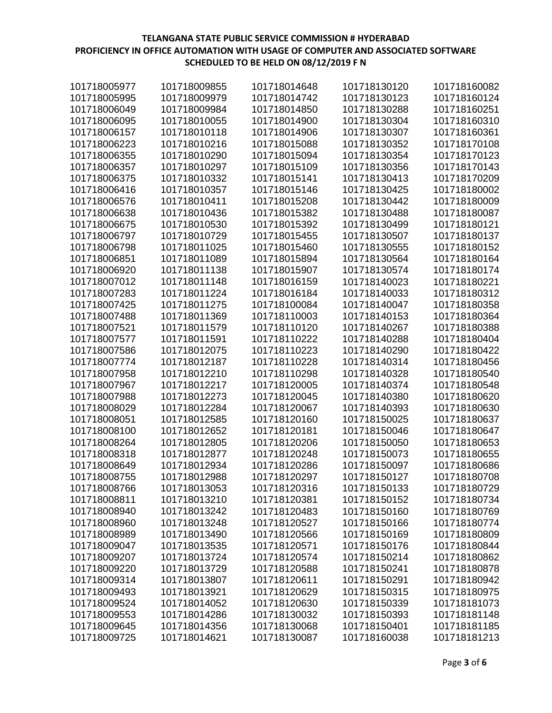| 101718005977 | 101718009855 | 101718014648 | 101718130120 | 101718160082 |
|--------------|--------------|--------------|--------------|--------------|
| 101718005995 | 101718009979 | 101718014742 | 101718130123 | 101718160124 |
| 101718006049 | 101718009984 | 101718014850 | 101718130288 | 101718160251 |
| 101718006095 | 101718010055 | 101718014900 | 101718130304 | 101718160310 |
| 101718006157 | 101718010118 | 101718014906 | 101718130307 | 101718160361 |
| 101718006223 | 101718010216 | 101718015088 | 101718130352 | 101718170108 |
| 101718006355 | 101718010290 | 101718015094 | 101718130354 | 101718170123 |
| 101718006357 | 101718010297 | 101718015109 | 101718130356 | 101718170143 |
| 101718006375 | 101718010332 | 101718015141 | 101718130413 | 101718170209 |
| 101718006416 | 101718010357 | 101718015146 | 101718130425 | 101718180002 |
| 101718006576 | 101718010411 | 101718015208 | 101718130442 | 101718180009 |
| 101718006638 | 101718010436 | 101718015382 | 101718130488 | 101718180087 |
| 101718006675 | 101718010530 | 101718015392 | 101718130499 | 101718180121 |
| 101718006797 | 101718010729 | 101718015455 | 101718130507 | 101718180137 |
| 101718006798 | 101718011025 | 101718015460 | 101718130555 | 101718180152 |
| 101718006851 | 101718011089 | 101718015894 | 101718130564 | 101718180164 |
| 101718006920 | 101718011138 | 101718015907 | 101718130574 | 101718180174 |
| 101718007012 | 101718011148 | 101718016159 | 101718140023 | 101718180221 |
| 101718007283 | 101718011224 | 101718016184 | 101718140033 | 101718180312 |
| 101718007425 | 101718011275 | 101718100084 | 101718140047 | 101718180358 |
| 101718007488 | 101718011369 | 101718110003 | 101718140153 | 101718180364 |
| 101718007521 | 101718011579 | 101718110120 | 101718140267 | 101718180388 |
| 101718007577 | 101718011591 | 101718110222 | 101718140288 | 101718180404 |
| 101718007586 | 101718012075 | 101718110223 | 101718140290 | 101718180422 |
| 101718007774 | 101718012187 | 101718110228 | 101718140314 | 101718180456 |
| 101718007958 | 101718012210 | 101718110298 | 101718140328 | 101718180540 |
| 101718007967 | 101718012217 | 101718120005 | 101718140374 | 101718180548 |
| 101718007988 | 101718012273 | 101718120045 | 101718140380 | 101718180620 |
| 101718008029 | 101718012284 | 101718120067 | 101718140393 | 101718180630 |
| 101718008051 | 101718012585 | 101718120160 | 101718150025 | 101718180637 |
| 101718008100 | 101718012652 | 101718120181 | 101718150046 | 101718180647 |
| 101718008264 | 101718012805 | 101718120206 | 101718150050 | 101718180653 |
| 101718008318 | 101718012877 | 101718120248 | 101718150073 | 101718180655 |
| 101718008649 | 101718012934 | 101718120286 | 101718150097 | 101718180686 |
| 101718008755 | 101718012988 | 101718120297 | 101718150127 | 101718180708 |
| 101718008766 | 101718013053 | 101718120316 | 101718150133 | 101718180729 |
| 101718008811 | 101718013210 | 101718120381 | 101718150152 | 101718180734 |
| 101718008940 | 101718013242 | 101718120483 | 101718150160 | 101718180769 |
| 101718008960 | 101718013248 | 101718120527 | 101718150166 | 101718180774 |
| 101718008989 | 101718013490 | 101718120566 | 101718150169 | 101718180809 |
| 101718009047 | 101718013535 | 101718120571 | 101718150176 | 101718180844 |
| 101718009207 | 101718013724 | 101718120574 | 101718150214 | 101718180862 |
| 101718009220 | 101718013729 | 101718120588 | 101718150241 | 101718180878 |
| 101718009314 | 101718013807 | 101718120611 | 101718150291 | 101718180942 |
| 101718009493 | 101718013921 | 101718120629 | 101718150315 | 101718180975 |
| 101718009524 | 101718014052 | 101718120630 | 101718150339 | 101718181073 |
| 101718009553 | 101718014286 | 101718130032 | 101718150393 | 101718181148 |
| 101718009645 | 101718014356 | 101718130068 | 101718150401 | 101718181185 |
| 101718009725 | 101718014621 | 101718130087 | 101718160038 | 101718181213 |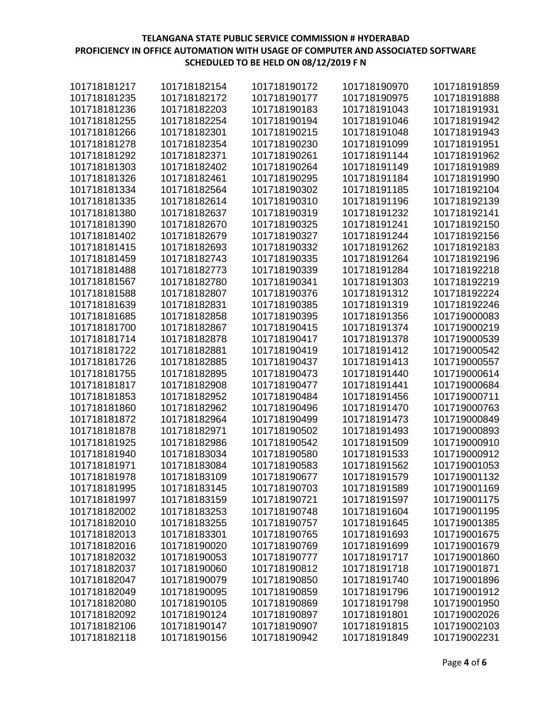| 101718181217 | 101718182154 | 101718190172 | 101718190970 | 101718191859 |
|--------------|--------------|--------------|--------------|--------------|
| 101718181235 | 101718182172 | 101718190177 | 101718190975 | 101718191888 |
| 101718181236 | 101718182203 | 101718190183 | 101718191043 | 101718191931 |
| 101718181255 | 101718182254 | 101718190194 | 101718191046 | 101718191942 |
| 101718181266 | 101718182301 | 101718190215 | 101718191048 | 101718191943 |
| 101718181278 | 101718182354 | 101718190230 | 101718191099 | 101718191951 |
| 101718181292 | 101718182371 | 101718190261 | 101718191144 | 101718191962 |
| 101718181303 | 101718182402 | 101718190264 | 101718191149 | 101718191989 |
| 101718181326 | 101718182461 | 101718190295 | 101718191184 | 101718191990 |
| 101718181334 | 101718182564 | 101718190302 | 101718191185 | 101718192104 |
| 101718181335 | 101718182614 | 101718190310 | 101718191196 | 101718192139 |
| 101718181380 | 101718182637 | 101718190319 | 101718191232 | 101718192141 |
| 101718181390 | 101718182670 | 101718190325 | 101718191241 | 101718192150 |
| 101718181402 | 101718182679 | 101718190327 | 101718191244 | 101718192156 |
| 101718181415 | 101718182693 | 101718190332 | 101718191262 | 101718192183 |
| 101718181459 | 101718182743 | 101718190335 | 101718191264 | 101718192196 |
| 101718181488 | 101718182773 | 101718190339 | 101718191284 | 101718192218 |
| 101718181567 | 101718182780 | 101718190341 | 101718191303 | 101718192219 |
| 101718181588 | 101718182807 | 101718190376 | 101718191312 | 101718192224 |
| 101718181639 | 101718182831 | 101718190385 | 101718191319 | 101718192246 |
| 101718181685 | 101718182858 | 101718190395 | 101718191356 | 101719000083 |
| 101718181700 | 101718182867 | 101718190415 | 101718191374 | 101719000219 |
| 101718181714 | 101718182878 | 101718190417 | 101718191378 | 101719000539 |
| 101718181722 | 101718182881 | 101718190419 | 101718191412 | 101719000542 |
| 101718181726 | 101718182885 | 101718190437 | 101718191413 | 101719000557 |
| 101718181755 | 101718182895 | 101718190473 | 101718191440 | 101719000614 |
| 101718181817 | 101718182908 | 101718190477 | 101718191441 | 101719000684 |
| 101718181853 | 101718182952 | 101718190484 | 101718191456 | 101719000711 |
| 101718181860 | 101718182962 | 101718190496 | 101718191470 | 101719000763 |
| 101718181872 | 101718182964 | 101718190499 | 101718191473 | 101719000849 |
| 101718181878 | 101718182971 | 101718190502 | 101718191493 | 101719000893 |
| 101718181925 | 101718182986 | 101718190542 | 101718191509 | 101719000910 |
| 101718181940 | 101718183034 | 101718190580 | 101718191533 | 101719000912 |
| 101718181971 | 101718183084 | 101718190583 | 101718191562 | 101719001053 |
| 101718181978 | 101718183109 | 101718190677 | 101718191579 | 101719001132 |
| 101718181995 | 101718183145 | 101718190703 | 101718191589 | 101719001169 |
| 101718181997 | 101718183159 | 101718190721 | 101718191597 | 101719001175 |
| 101718182002 | 101718183253 | 101718190748 | 101718191604 | 101719001195 |
| 101718182010 | 101718183255 | 101718190757 | 101718191645 | 101719001385 |
| 101718182013 | 101718183301 | 101718190765 | 101718191693 | 101719001675 |
| 101718182016 | 101718190020 | 101718190769 | 101718191699 | 101719001679 |
| 101718182032 | 101718190053 | 101718190777 | 101718191717 | 101719001860 |
| 101718182037 | 101718190060 | 101718190812 | 101718191718 | 101719001871 |
| 101718182047 | 101718190079 | 101718190850 | 101718191740 | 101719001896 |
| 101718182049 | 101718190095 | 101718190859 | 101718191796 | 101719001912 |
| 101718182080 | 101718190105 | 101718190869 | 101718191798 | 101719001950 |
| 101718182092 | 101718190124 | 101718190897 | 101718191801 | 101719002026 |
| 101718182106 | 101718190147 | 101718190907 | 101718191815 | 101719002103 |
| 101718182118 | 101718190156 | 101718190942 | 101718191849 | 101719002231 |
|              |              |              |              |              |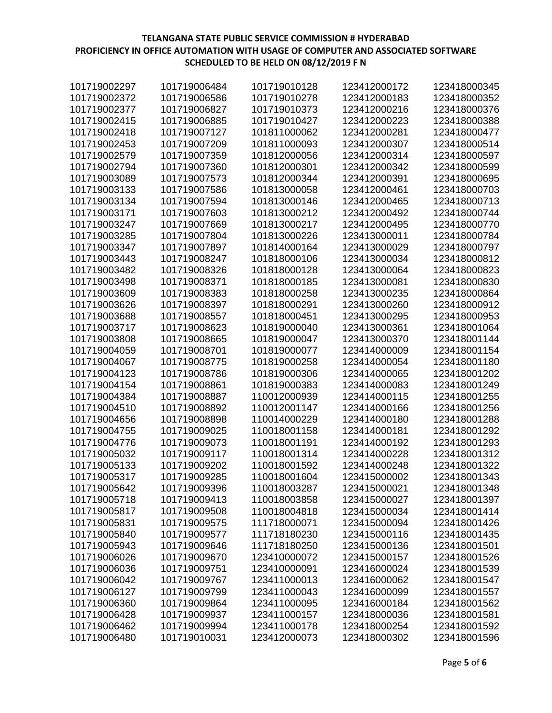| 101719002297 | 101719006484 | 101719010128 | 123412000172 | 123418000345 |
|--------------|--------------|--------------|--------------|--------------|
| 101719002372 | 101719006586 | 101719010278 | 123412000183 | 123418000352 |
| 101719002377 | 101719006827 | 101719010373 | 123412000216 | 123418000376 |
| 101719002415 | 101719006885 | 101719010427 | 123412000223 | 123418000388 |
| 101719002418 | 101719007127 | 101811000062 | 123412000281 | 123418000477 |
| 101719002453 | 101719007209 | 101811000093 | 123412000307 | 123418000514 |
| 101719002579 | 101719007359 | 101812000056 | 123412000314 | 123418000597 |
| 101719002794 | 101719007360 | 101812000301 | 123412000342 | 123418000599 |
| 101719003089 | 101719007573 | 101812000344 | 123412000391 | 123418000695 |
| 101719003133 | 101719007586 | 101813000058 | 123412000461 | 123418000703 |
| 101719003134 | 101719007594 | 101813000146 | 123412000465 | 123418000713 |
| 101719003171 | 101719007603 | 101813000212 | 123412000492 | 123418000744 |
| 101719003247 | 101719007669 | 101813000217 | 123412000495 | 123418000770 |
| 101719003285 | 101719007804 | 101813000226 | 123413000011 | 123418000784 |
| 101719003347 | 101719007897 | 101814000164 | 123413000029 | 123418000797 |
| 101719003443 | 101719008247 | 101818000106 | 123413000034 | 123418000812 |
| 101719003482 | 101719008326 | 101818000128 | 123413000064 | 123418000823 |
| 101719003498 | 101719008371 | 101818000185 | 123413000081 | 123418000830 |
| 101719003609 | 101719008383 | 101818000258 | 123413000235 | 123418000864 |
| 101719003626 | 101719008397 | 101818000291 | 123413000260 | 123418000912 |
| 101719003688 | 101719008557 | 101818000451 | 123413000295 | 123418000953 |
| 101719003717 | 101719008623 | 101819000040 | 123413000361 | 123418001064 |
| 101719003808 | 101719008665 | 101819000047 | 123413000370 | 123418001144 |
| 101719004059 | 101719008701 | 101819000077 | 123414000009 | 123418001154 |
| 101719004067 | 101719008775 | 101819000258 | 123414000054 | 123418001180 |
| 101719004123 | 101719008786 | 101819000306 | 123414000065 | 123418001202 |
| 101719004154 | 101719008861 | 101819000383 | 123414000083 | 123418001249 |
| 101719004384 | 101719008887 | 110012000939 | 123414000115 | 123418001255 |
| 101719004510 | 101719008892 | 110012001147 | 123414000166 | 123418001256 |
| 101719004656 | 101719008898 | 110014000229 | 123414000180 | 123418001288 |
| 101719004755 | 101719009025 | 110018001158 | 123414000181 | 123418001292 |
| 101719004776 | 101719009073 | 110018001191 | 123414000192 | 123418001293 |
| 101719005032 | 101719009117 | 110018001314 | 123414000228 | 123418001312 |
| 101719005133 | 101719009202 | 110018001592 | 123414000248 | 123418001322 |
| 101719005317 | 101719009285 | 110018001604 | 123415000002 | 123418001343 |
| 101719005642 | 101719009396 | 110018003287 | 123415000021 | 123418001348 |
| 101719005718 | 101719009413 | 110018003858 | 123415000027 | 123418001397 |
| 101719005817 | 101719009508 | 110018004818 | 123415000034 | 123418001414 |
| 101719005831 | 101719009575 | 111718000071 | 123415000094 | 123418001426 |
| 101719005840 | 101719009577 | 111718180230 | 123415000116 | 123418001435 |
| 101719005943 | 101719009646 | 111718180250 | 123415000136 | 123418001501 |
| 101719006026 | 101719009670 | 123410000072 | 123415000157 | 123418001526 |
| 101719006036 | 101719009751 | 123410000091 | 123416000024 | 123418001539 |
| 101719006042 | 101719009767 | 123411000013 | 123416000062 | 123418001547 |
| 101719006127 | 101719009799 | 123411000043 | 123416000099 | 123418001557 |
| 101719006360 | 101719009864 | 123411000095 | 123416000184 | 123418001562 |
| 101719006428 | 101719009937 | 123411000157 | 123418000036 | 123418001581 |
| 101719006462 | 101719009994 | 123411000178 | 123418000254 | 123418001592 |
| 101719006480 | 101719010031 | 123412000073 | 123418000302 | 123418001596 |
|              |              |              |              |              |